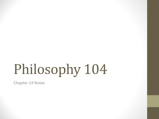# Philosophy 104

Chapter 14 Notes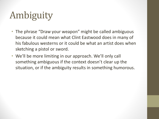## Ambiguity

- The phrase "Draw your weapon" might be called ambiguous because it could mean what Clint Eastwood does in many of his fabulous westerns or it could be what an artist does when sketching a pistol or sword.
- We'll be more limiting in our approach. We'll only call something ambiguous if the context doesn't clear up the situation, or if the ambiguity results in something humorous.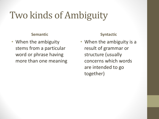### Two kinds of Ambiguity

#### **Semantic**

• When the ambiguity stems from a particular word or phrase having more than one meaning

#### **Syntactic**

• When the ambiguity is a result of grammar or structure (usually concerns which words are intended to go together)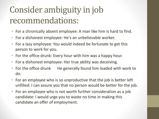#### Consider ambiguity in job recommendations:

- For a chronically absent employee: A man like him is hard to find.
- For a dishonest employee: He's an unbelievable worker.
- For a lazy employee: You would indeed be fortunate to get this person to work for you.
- For the office drunk: Every hour with him was a happy hour.
- For a dishonest employee: Her true ability was deceiving.
- For the office drunk He generally found him loaded with work to do.
- For an employee who is so unproductive that the job is better left unfilled: I can assure you that no person would be better for the job.
- For an employee who is not worth further consideration as a job candidate: I would urge you to waste no time in making this candidate an offer of employment.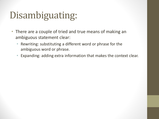### Disambiguating:

- There are a couple of tried and true means of making an ambiguous statement clear:
	- Rewriting: substituting a different word or phrase for the ambiguous word or phrase.
	- Expanding: adding extra information that makes the context clear.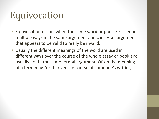#### Equivocation

- Equivocation occurs when the same word or phrase is used in multiple ways in the same argument and causes an argument that appears to be valid to really be invalid.
- Usually the different meanings of the word are used in different ways over the course of the whole essay or book and usually not in the same formal argument. Often the meaning of a term may "drift" over the course of someone's writing.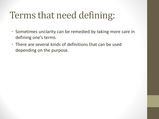#### Terms that need defining:

- Sometimes unclarity can be remedied by taking more care in defining one's terms.
- There are several kinds of definitions that can be used depending on the purpose.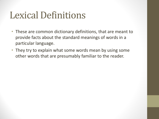#### Lexical Definitions

- These are common dictionary definitions, that are meant to provide facts about the standard meanings of words in a particular language.
- They try to explain what some words mean by using some other words that are presumably familiar to the reader.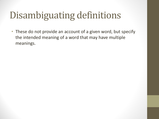### Disambiguating definitions

• These do not provide an account of a given word, but specify the intended meaning of a word that may have multiple meanings.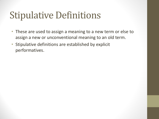#### Stipulative Definitions

- These are used to assign a meaning to a new term or else to assign a new or unconventional meaning to an old term.
- Stipulative definitions are established by explicit performatives.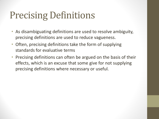### Precising Definitions

- As disambiguating definitions are used to resolve ambiguity, precising definitions are used to reduce vagueness.
- Often, precising definitions take the form of supplying standards for evaluative terms
- Precising definitions can often be argued on the basis of their effects, which is an excuse that some give for not supplying precising definitions where necessary or useful.